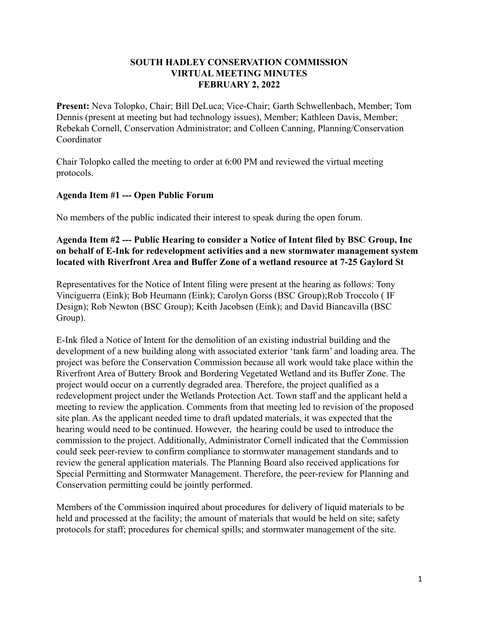#### **SOUTH HADLEY CONSERVATION COMMISSION VIRTUAL MEETING MINUTES FEBRUARY 2, 2022**

**Present:** Neva Tolopko, Chair; Bill DeLuca; Vice-Chair; Garth Schwellenbach, Member; Tom Dennis (present at meeting but had technology issues), Member; Kathleen Davis, Member; Rebekah Cornell, Conservation Administrator; and Colleen Canning, Planning/Conservation Coordinator

Chair Tolopko called the meeting to order at 6:00 PM and reviewed the virtual meeting protocols.

### **Agenda Item #1 --- Open Public Forum**

No members of the public indicated their interest to speak during the open forum.

#### **Agenda Item #2 --- Public Hearing to consider a Notice of Intent filed by BSC Group, Inc on behalf of E-Ink for redevelopment activities and a new stormwater management system located with Riverfront Area and Buffer Zone of a wetland resource at 7-25 Gaylord St**

Representatives for the Notice of Intent filing were present at the hearing as follows: Tony Vinciguerra (Eink); Bob Heumann (Eink); Carolyn Gorss (BSC Group);Rob Troccolo ( IF Design); Rob Newton (BSC Group); Keith Jacobsen (Eink); and David Biancavilla (BSC Group).

E-Ink filed a Notice of Intent for the demolition of an existing industrial building and the development of a new building along with associated exterior 'tank farm' and loading area. The project was before the Conservation Commission because all work would take place within the Riverfront Area of Buttery Brook and Bordering Vegetated Wetland and its Buffer Zone. The project would occur on a currently degraded area. Therefore, the project qualified as a redevelopment project under the Wetlands Protection Act. Town staff and the applicant held a meeting to review the application. Comments from that meeting led to revision of the proposed site plan. As the applicant needed time to draft updated materials, it was expected that the hearing would need to be continued. However, the hearing could be used to introduce the commission to the project. Additionally, Administrator Cornell indicated that the Commission could seek peer-review to confirm compliance to stormwater management standards and to review the general application materials. The Planning Board also received applications for Special Permitting and Stormwater Management. Therefore, the peer-review for Planning and Conservation permitting could be jointly performed.

Members of the Commission inquired about procedures for delivery of liquid materials to be held and processed at the facility; the amount of materials that would be held on site; safety protocols for staff; procedures for chemical spills; and stormwater management of the site.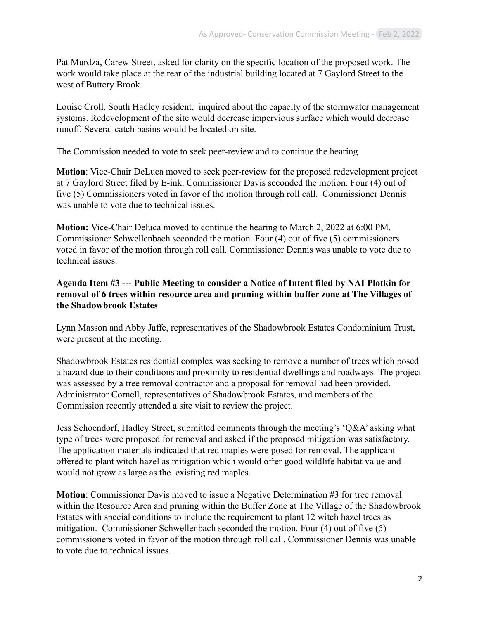Pat Murdza, Carew Street, asked for clarity on the specific location of the proposed work. The work would take place at the rear of the industrial building located at 7 Gaylord Street to the west of Buttery Brook.

Louise Croll, South Hadley resident, inquired about the capacity of the stormwater management systems. Redevelopment of the site would decrease impervious surface which would decrease runoff. Several catch basins would be located on site.

The Commission needed to vote to seek peer-review and to continue the hearing.

**Motion**: Vice-Chair DeLuca moved to seek peer-review for the proposed redevelopment project at 7 Gaylord Street filed by E-ink. Commissioner Davis seconded the motion. Four (4) out of five (5) Commissioners voted in favor of the motion through roll call. Commissioner Dennis was unable to vote due to technical issues.

**Motion:** Vice-Chair Deluca moved to continue the hearing to March 2, 2022 at 6:00 PM. Commissioner Schwellenbach seconded the motion. Four (4) out of five (5) commissioners voted in favor of the motion through roll call. Commissioner Dennis was unable to vote due to technical issues.

### **Agenda Item #3 --- Public Meeting to consider a Notice of Intent filed by NAI Plotkin for removal of 6 trees within resource area and pruning within buffer zone at The Villages of the Shadowbrook Estates**

Lynn Masson and Abby Jaffe, representatives of the Shadowbrook Estates Condominium Trust, were present at the meeting.

Shadowbrook Estates residential complex was seeking to remove a number of trees which posed a hazard due to their conditions and proximity to residential dwellings and roadways. The project was assessed by a tree removal contractor and a proposal for removal had been provided. Administrator Cornell, representatives of Shadowbrook Estates, and members of the Commission recently attended a site visit to review the project.

Jess Schoendorf, Hadley Street, submitted comments through the meeting's 'Q&A' asking what type of trees were proposed for removal and asked if the proposed mitigation was satisfactory. The application materials indicated that red maples were posed for removal. The applicant offered to plant witch hazel as mitigation which would offer good wildlife habitat value and would not grow as large as the existing red maples.

**Motion**: Commissioner Davis moved to issue a Negative Determination #3 for tree removal within the Resource Area and pruning within the Buffer Zone at The Village of the Shadowbrook Estates with special conditions to include the requirement to plant 12 witch hazel trees as mitigation. Commissioner Schwellenbach seconded the motion. Four (4) out of five (5) commissioners voted in favor of the motion through roll call. Commissioner Dennis was unable to vote due to technical issues.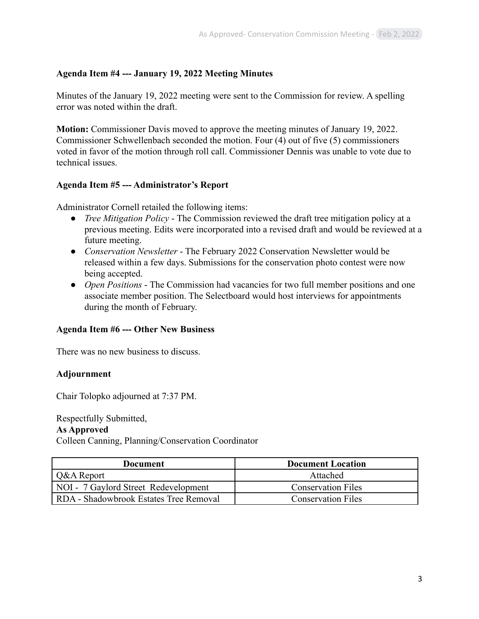## **Agenda Item #4 --- January 19, 2022 Meeting Minutes**

Minutes of the January 19, 2022 meeting were sent to the Commission for review. A spelling error was noted within the draft.

**Motion:** Commissioner Davis moved to approve the meeting minutes of January 19, 2022. Commissioner Schwellenbach seconded the motion. Four (4) out of five (5) commissioners voted in favor of the motion through roll call. Commissioner Dennis was unable to vote due to technical issues.

#### **Agenda Item #5 --- Administrator's Report**

Administrator Cornell retailed the following items:

- *Tree Mitigation Policy* The Commission reviewed the draft tree mitigation policy at a previous meeting. Edits were incorporated into a revised draft and would be reviewed at a future meeting.
- *Conservation Newsletter* The February 2022 Conservation Newsletter would be released within a few days. Submissions for the conservation photo contest were now being accepted.
- *Open Positions* The Commission had vacancies for two full member positions and one associate member position. The Selectboard would host interviews for appointments during the month of February.

#### **Agenda Item #6 --- Other New Business**

There was no new business to discuss.

#### **Adjournment**

Chair Tolopko adjourned at 7:37 PM.

#### Respectfully Submitted,

#### **As Approved**

Colleen Canning, Planning/Conservation Coordinator

| Document                                      | <b>Document Location</b>  |  |
|-----------------------------------------------|---------------------------|--|
| Q&A Report                                    | Attached                  |  |
| NOI - 7 Gaylord Street Redevelopment          | <b>Conservation Files</b> |  |
| <b>RDA</b> - Shadowbrook Estates Tree Removal | <b>Conservation Files</b> |  |